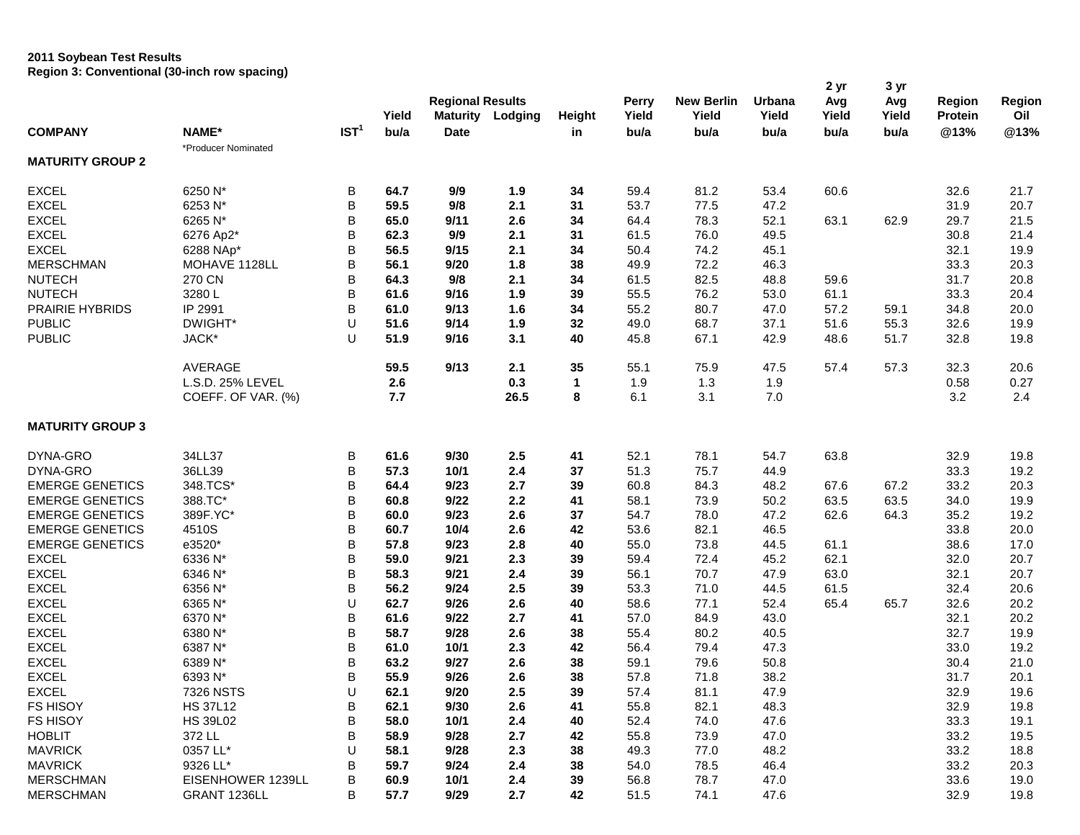## **2011 Soybean Test Results Region 3: Conventional (30-inch row spacing)**

| <b>COMPANY</b>          | NAME*               |                  |               | <b>Regional Results</b>        |         |              | <b>Perry</b>  | <b>New Berlin</b> | Urbana        | 2 yr<br>Avg   | 3 yr<br>Avg   | Region                 | Region      |
|-------------------------|---------------------|------------------|---------------|--------------------------------|---------|--------------|---------------|-------------------|---------------|---------------|---------------|------------------------|-------------|
|                         |                     | IST <sup>1</sup> | Yield<br>bu/a | <b>Maturity</b><br><b>Date</b> | Lodging | Height<br>in | Yield<br>bu/a | Yield<br>bu/a     | Yield<br>bu/a | Yield<br>bu/a | Yield<br>bu/a | <b>Protein</b><br>@13% | Oil<br>@13% |
| <b>MATURITY GROUP 2</b> | *Producer Nominated |                  |               |                                |         |              |               |                   |               |               |               |                        |             |
| <b>EXCEL</b>            | 6250 N*             | В                | 64.7          | 9/9                            | 1.9     | 34           | 59.4          | 81.2              | 53.4          | 60.6          |               | 32.6                   | 21.7        |
| <b>EXCEL</b>            | 6253 N*             | В                | 59.5          | 9/8                            | 2.1     | 31           | 53.7          | 77.5              | 47.2          |               |               | 31.9                   | 20.7        |
| <b>EXCEL</b>            | 6265 N*             | В                | 65.0          | 9/11                           | 2.6     | 34           | 64.4          | 78.3              | 52.1          | 63.1          | 62.9          | 29.7                   | 21.5        |
| <b>EXCEL</b>            | 6276 Ap2*           | B                | 62.3          | 9/9                            | 2.1     | 31           | 61.5          | 76.0              | 49.5          |               |               | 30.8                   | 21.4        |
| <b>EXCEL</b>            | 6288 NAp*           | В                | 56.5          | 9/15                           | 2.1     | 34           | 50.4          | 74.2              | 45.1          |               |               | 32.1                   | 19.9        |
| <b>MERSCHMAN</b>        | MOHAVE 1128LL       | В                | 56.1          | 9/20                           | 1.8     | 38           | 49.9          | 72.2              | 46.3          |               |               | 33.3                   | 20.3        |
| <b>NUTECH</b>           | 270 CN              | В                | 64.3          | 9/8                            | 2.1     | 34           | 61.5          | 82.5              | 48.8          | 59.6          |               | 31.7                   | 20.8        |
| <b>NUTECH</b>           | 3280L               | B                | 61.6          | 9/16                           | 1.9     | 39           | 55.5          | 76.2              | 53.0          | 61.1          |               | 33.3                   | 20.4        |
| <b>PRAIRIE HYBRIDS</b>  | IP 2991             | B                | 61.0          | 9/13                           | 1.6     | 34           | 55.2          | 80.7              | 47.0          | 57.2          | 59.1          | 34.8                   | 20.0        |
| <b>PUBLIC</b>           | DWIGHT*             | U                | 51.6          | 9/14                           | 1.9     | 32           | 49.0          | 68.7              | 37.1          | 51.6          | 55.3          | 32.6                   | 19.9        |
| <b>PUBLIC</b>           | JACK*               | U                | 51.9          | 9/16                           | 3.1     | 40           | 45.8          | 67.1              | 42.9          | 48.6          | 51.7          | 32.8                   | 19.8        |
|                         | <b>AVERAGE</b>      |                  | 59.5          | 9/13                           | 2.1     | 35           | 55.1          | 75.9              | 47.5          | 57.4          | 57.3          | 32.3                   | 20.6        |
|                         | L.S.D. 25% LEVEL    |                  | 2.6           |                                | 0.3     | 1            | 1.9           | 1.3               | 1.9           |               |               | 0.58                   | 0.27        |
|                         | COEFF. OF VAR. (%)  |                  | 7.7           |                                | 26.5    | 8            | 6.1           | 3.1               | 7.0           |               |               | 3.2                    | 2.4         |
| <b>MATURITY GROUP 3</b> |                     |                  |               |                                |         |              |               |                   |               |               |               |                        |             |
| DYNA-GRO                | 34LL37              | В                | 61.6          | 9/30                           | 2.5     | 41           | 52.1          | 78.1              | 54.7          | 63.8          |               | 32.9                   | 19.8        |
| DYNA-GRO                | 36LL39              | В                | 57.3          | 10/1                           | 2.4     | 37           | 51.3          | 75.7              | 44.9          |               |               | 33.3                   | 19.2        |
| <b>EMERGE GENETICS</b>  | 348.TCS*            | В                | 64.4          | 9/23                           | 2.7     | 39           | 60.8          | 84.3              | 48.2          | 67.6          | 67.2          | 33.2                   | 20.3        |
| <b>EMERGE GENETICS</b>  | 388.TC*             | В                | 60.8          | 9/22                           | 2.2     | 41           | 58.1          | 73.9              | 50.2          | 63.5          | 63.5          | 34.0                   | 19.9        |
| <b>EMERGE GENETICS</b>  | 389F.YC*            | B                | 60.0          | 9/23                           | 2.6     | 37           | 54.7          | 78.0              | 47.2          | 62.6          | 64.3          | 35.2                   | 19.2        |
| <b>EMERGE GENETICS</b>  | 4510S               | В                | 60.7          | 10/4                           | 2.6     | 42           | 53.6          | 82.1              | 46.5          |               |               | 33.8                   | 20.0        |
| <b>EMERGE GENETICS</b>  | e3520*              | В                | 57.8          | 9/23                           | 2.8     | 40           | 55.0          | 73.8              | 44.5          | 61.1          |               | 38.6                   | 17.0        |
| <b>EXCEL</b>            | 6336 N*             | В                | 59.0          | 9/21                           | 2.3     | 39           | 59.4          | 72.4              | 45.2          | 62.1          |               | 32.0                   | 20.7        |
| <b>EXCEL</b>            | 6346 N*             | В                | 58.3          | 9/21                           | 2.4     | 39           | 56.1          | 70.7              | 47.9          | 63.0          |               | 32.1                   | 20.7        |
| <b>EXCEL</b>            | 6356 N*             | В                | 56.2          | 9/24                           | 2.5     | 39           | 53.3          | 71.0              | 44.5          | 61.5          |               | 32.4                   | 20.6        |
| <b>EXCEL</b>            | 6365 N*             | U                | 62.7          | 9/26                           | 2.6     | 40           | 58.6          | 77.1              | 52.4          | 65.4          | 65.7          | 32.6                   | 20.2        |
| <b>EXCEL</b>            | 6370 N*             | В                | 61.6          | 9/22                           | 2.7     | 41           | 57.0          | 84.9              | 43.0          |               |               | 32.1                   | 20.2        |
| <b>EXCEL</b>            | 6380 N*             | В                | 58.7          | 9/28                           | 2.6     | 38           | 55.4          | 80.2              | 40.5          |               |               | 32.7                   | 19.9        |
| <b>EXCEL</b>            | 6387 N*             | В                | 61.0          | 10/1                           | 2.3     | 42           | 56.4          | 79.4              | 47.3          |               |               | 33.0                   | 19.2        |
| <b>EXCEL</b>            | 6389 N*             | B                | 63.2          | 9/27                           | 2.6     | 38           | 59.1          | 79.6              | 50.8          |               |               | 30.4                   | 21.0        |
| <b>EXCEL</b>            | 6393 N*             | B                | 55.9          | 9/26                           | 2.6     | 38           | 57.8          | 71.8              | 38.2          |               |               | 31.7                   | 20.1        |
| <b>EXCEL</b>            | 7326 NSTS           | U                | 62.1          | 9/20                           | 2.5     | 39           | 57.4          | 81.1              | 47.9          |               |               | 32.9                   | 19.6        |
| FS HISOY                | <b>HS 37L12</b>     | В                | 62.1          | 9/30                           | 2.6     | 41           | 55.8          | 82.1              | 48.3          |               |               | 32.9                   | 19.8        |
| FS HISOY                | <b>HS 39L02</b>     | В                | 58.0          | 10/1                           | 2.4     | 40           | 52.4          | 74.0              | 47.6          |               |               | 33.3                   | 19.1        |
| <b>HOBLIT</b>           | 372 LL              | В                | 58.9          | 9/28                           | 2.7     | 42           | 55.8          | 73.9              | 47.0          |               |               | 33.2                   | 19.5        |
| <b>MAVRICK</b>          | 0357 LL*            | U                | 58.1          | 9/28                           | 2.3     | 38           | 49.3          | 77.0              | 48.2          |               |               | 33.2                   | 18.8        |
| <b>MAVRICK</b>          | 9326 LL*            | В                | 59.7          | 9/24                           | 2.4     | 38           | 54.0          | 78.5              | 46.4          |               |               | 33.2                   | 20.3        |
| <b>MERSCHMAN</b>        | EISENHOWER 1239LL   | В                | 60.9          | 10/1                           | $2.4\,$ | 39           | 56.8          | 78.7              | 47.0          |               |               | 33.6                   | 19.0        |
| <b>MERSCHMAN</b>        | GRANT 1236LL        | B                | 57.7          | 9/29                           | 2.7     | 42           | 51.5          | 74.1              | 47.6          |               |               | 32.9                   | 19.8        |